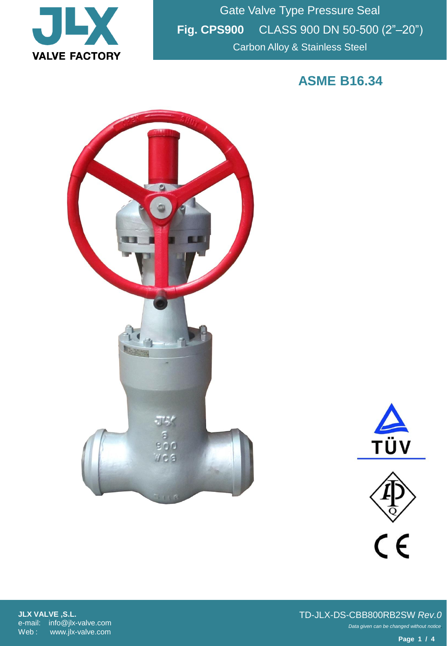

Gate Valve Type Pressure Seal **Fig. CPS900** CLASS 900 DN 50-500 (2"–20") Carbon Alloy & Stainless Steel

**ASME B16.34**







**JLX VALVE ,S.L.** e-mail: info@jlx-valve.com Web : www.jlx-valve.com

*Data given can be changed without notice.* TD-JLX-DS-CBB800RB2SW *Rev.0*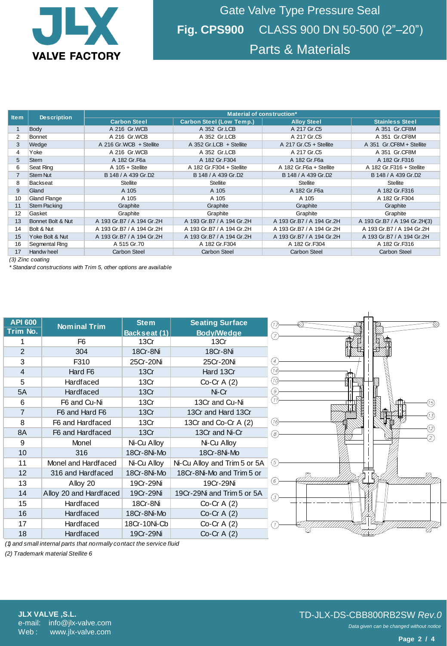

| <b>Item</b>                                                                             | <b>Description</b>  | Material of construction*                                         |                                             |                           |                              |  |  |  |
|-----------------------------------------------------------------------------------------|---------------------|-------------------------------------------------------------------|---------------------------------------------|---------------------------|------------------------------|--|--|--|
|                                                                                         |                     | <b>Carbon Steel</b>                                               | <b>Carbon Steel (Low Temp.)</b>             | <b>Alloy Steel</b>        | <b>Stainless Steel</b>       |  |  |  |
| $\mathbf{1}$                                                                            | Body                | A 216 Gr.WCB                                                      | A 352 Gr.LCB                                | A 217 Gr.C5               | A 351 Gr.CF8M                |  |  |  |
| 2                                                                                       | Bonnet              | A 216 Gr.WCB                                                      | A 352 Gr.LCB                                | A 217 Gr.C5               | A 351 Gr.CF8M                |  |  |  |
| 3                                                                                       | Wedge               | A 216 Gr.WCB + Stellite                                           | A 352 Gr.LCB + Stellite                     | A 217 Gr.C5 + Stellite    | A 351 Gr.CF8M + Stellite     |  |  |  |
| 4                                                                                       | Yoke                | A 216 Gr.WCB                                                      | A 352 Gr.LCB                                | A 217 Gr.C5               | A 351 Gr.CF8M                |  |  |  |
| 5                                                                                       | <b>Stem</b>         | A 182 Gr.F6a                                                      | A 182 Gr.F304                               | A 182 Gr.F6a              | A 182 Gr.F316                |  |  |  |
| 6                                                                                       | Seat Ring           | $A$ 105 + Stellite                                                | A 182 Gr.F304 + Stellite                    | A 182 Gr.F6a + Stellite   | A 182 Gr.F316 + Stellite     |  |  |  |
|                                                                                         | <b>Stem Nut</b>     | B 148 / A 439 Gr.D2                                               | B 148 / A 439 Gr.D2                         | B 148 / A 439 Gr.D2       | B 148 / A 439 Gr.D2          |  |  |  |
| 8                                                                                       | <b>Backseat</b>     | <b>Stellite</b>                                                   | <b>Stellite</b>                             | <b>Stellite</b>           | <b>Stellite</b>              |  |  |  |
| 9                                                                                       | Gland               | A 105                                                             | A 105                                       | A 182 Gr. F6a             | A 182 Gr.F316                |  |  |  |
| 10                                                                                      | <b>Gland Flange</b> | A 105                                                             | A 105                                       | A 105                     | A 182 Gr.F304                |  |  |  |
| 11                                                                                      | <b>Stem Packing</b> | Graphite                                                          | Graphite                                    | Graphite                  | Graphite                     |  |  |  |
| 12                                                                                      | Gasket              | Graphite                                                          | Graphite                                    | Graphite                  | Graphite                     |  |  |  |
| 13                                                                                      | Bonnet Bolt & Nut   | A 193 Gr.B7 / A 194 Gr.2H                                         | A 193 Gr.B7 / A 194 Gr.2H                   | A 193 Gr.B7 / A 194 Gr.2H | A 193 Gr.B7 / A 194 Gr.2H(3) |  |  |  |
| 14                                                                                      | Bolt & Nut          | A 193 Gr.B7 / A 194 Gr.2H                                         | A 193 Gr.B7 / A 194 Gr.2H                   | A 193 Gr.B7 / A 194 Gr.2H | A 193 Gr.B7 / A 194 Gr.2H    |  |  |  |
| 15                                                                                      | Yoke Bolt & Nut     | A 193 Gr.B7 / A 194 Gr.2H                                         | A 193 Gr.B7 / A 194 Gr.2H                   | A 193 Gr.B7 / A 194 Gr.2H | A 193 Gr.B7 / A 194 Gr.2H    |  |  |  |
| 16                                                                                      | Segmental Ring      | A 515 Gr.70                                                       | A 182 Gr.F304                               | A 182 Gr.F304             | A 182 Gr.F316                |  |  |  |
| 17                                                                                      | Handw heel          | <b>Carbon Steel</b><br><b>Carbon Steel</b><br><b>Carbon Steel</b> |                                             |                           | <b>Carbon Steel</b>          |  |  |  |
| $(3)$ Zinc coating<br>* Standard constructions with Trim 5, other options are available |                     |                                                                   |                                             |                           |                              |  |  |  |
| <b>API 600</b><br>Trim No.                                                              | <b>Nominal Trim</b> | <b>Stem</b><br>Backseat (1)                                       | <b>Seating Surface</b><br><b>Body/Wedge</b> | ⊙<br>G                    |                              |  |  |  |

| <b>API 600</b> | <b>Nominal Trim</b>    | <b>Stem</b>  | <b>Seating Surface</b>       |
|----------------|------------------------|--------------|------------------------------|
| Trim No.       |                        | Backseat (1) | <b>Body/Wedge</b>            |
| 1              | F6                     | 13Cr         | 13Cr                         |
| 2              | 304                    | 18Cr-8Ni     | 18Cr-8Ni                     |
| 3              | F310                   | 25Cr-20Ni    | 25Cr-20Ni                    |
| $\overline{4}$ | Hard F6                | 13Cr         | Hard 13Cr                    |
| 5              | <b>Hardfaced</b>       | 13Cr         | $Co-Cr A(2)$                 |
| 5A             | <b>Hardfaced</b>       | 13Cr         | Ni-Cr                        |
| 6              | F6 and Cu-Ni           | 13Cr         | 13Cr and Cu-Ni               |
| $\overline{7}$ | F6 and Hard F6         | 13Cr         | 13Cr and Hard 13Cr           |
| 8              | F6 and Hardfaced       | 13Cr         | 13Cr and Co-Cr A (2)         |
| 8A             | F6 and Hardfaced       | 13Cr         | 13Cr and Ni-Cr               |
| 9              | Monel                  | Ni-Cu Alloy  | Ni-Cu Alloy                  |
| 10             | 316                    | 18Cr-8Ni-Mo  | 18Cr-8Ni-Mo                  |
| 11             | Monel and Hardfaced    | Ni-Cu Alloy  | Ni-Cu Alloy and Trim 5 or 5A |
| 12             | 316 and Hardfaced      | 18Cr-8Ni-Mo  | 18Cr-8Ni-Mo and Trim 5 or    |
| 13             | Alloy 20               | 19Cr-29Ni    | 19Cr-29Ni                    |
| 14             | Alloy 20 and Hardfaced | 19Cr-29Ni    | 19Cr-29Ni and Trim 5 or 5A   |
| 15             | Hardfaced              | 18Cr-8Ni     | Co-Cr $A(2)$                 |
| 16             | <b>Hardfaced</b>       | 18Cr-8Ni-Mo  | $Co-Cr A(2)$                 |
| 17             | <b>Hardfaced</b>       | 18Cr-10Ni-Cb | Co-Cr A $(2)$                |
| 18             | Hardfaced              | 19Cr-29Ni    | Co-Cr $A(2)$                 |



*(1) and small internal parts that normally contact the service fluid*

*(2) Trademark material Stellite 6*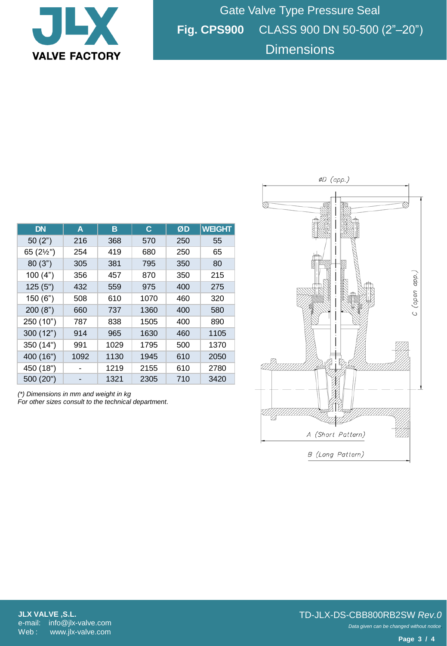

Gate Valve Type Pressure Seal **Fig. CPS900** CLASS 900 DN 50-500 (2"–20") **Dimensions** 

| <b>DN</b>           | A    | в    | C    | ØD  | <b>WEIGHT</b> |
|---------------------|------|------|------|-----|---------------|
| 50(2")              | 216  | 368  | 570  | 250 | 55            |
| 65 $(2\frac{1}{2})$ | 254  | 419  | 680  | 250 | 65            |
| 80(3")              | 305  | 381  | 795  | 350 | 80            |
| 100(4")             | 356  | 457  | 870  | 350 | 215           |
| 125(5")             | 432  | 559  | 975  | 400 | 275           |
| 150(6")             | 508  | 610  | 1070 | 460 | 320           |
| 200(8")             | 660  | 737  | 1360 | 400 | 580           |
| 250 (10")           | 787  | 838  | 1505 | 400 | 890           |
| 300(12")            | 914  | 965  | 1630 | 460 | 1105          |
| 350 (14")           | 991  | 1029 | 1795 | 500 | 1370          |
| 400 (16")           | 1092 | 1130 | 1945 | 610 | 2050          |
| 450 (18")           |      | 1219 | 2155 | 610 | 2780          |
| 500 (20")           |      | 1321 | 2305 | 710 | 3420          |

*(\*) Dimensions in mm and weight in kg For other sizes consult to the technical department.*



*Data given can be changed without notice.* TD-JLX-DS-CBB800RB2SW *Rev.0*

**Page 3 / 4**